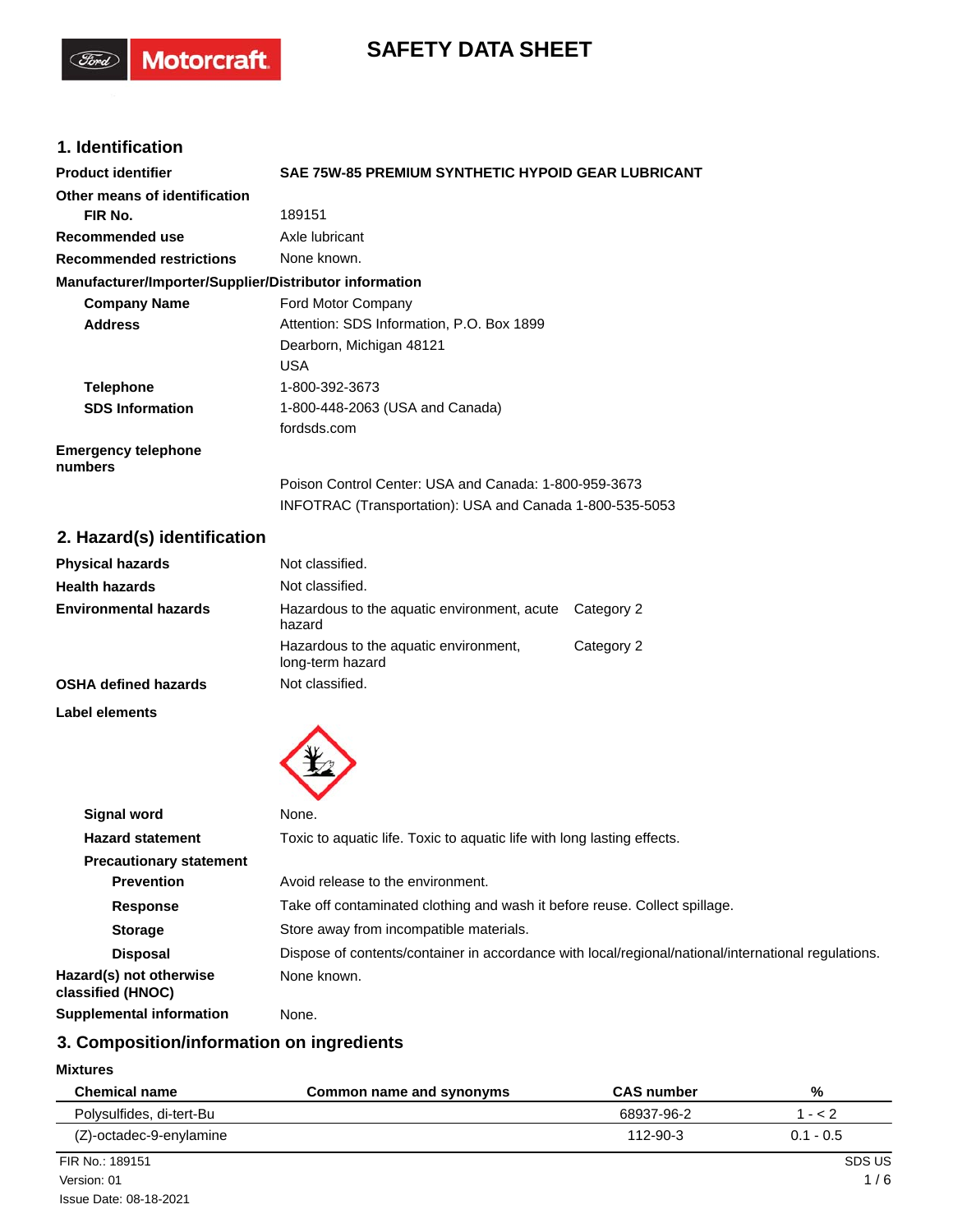# **SAFETY DATA SHEET**

# **1. Identification**

(Ford)

Motorcraft.

| <b>Product identifier</b>                              | <b>SAE 75W-85 PREMIUM SYNTHETIC HYPOID GEAR LUBRICANT</b> |
|--------------------------------------------------------|-----------------------------------------------------------|
| Other means of identification                          |                                                           |
| FIR No.                                                | 189151                                                    |
| Recommended use                                        | Axle lubricant                                            |
| <b>Recommended restrictions</b>                        | None known.                                               |
| Manufacturer/Importer/Supplier/Distributor information |                                                           |
| <b>Company Name</b>                                    | Ford Motor Company                                        |
| <b>Address</b>                                         | Attention: SDS Information, P.O. Box 1899                 |
|                                                        | Dearborn, Michigan 48121                                  |
|                                                        | <b>USA</b>                                                |
| <b>Telephone</b>                                       | 1-800-392-3673                                            |
| <b>SDS Information</b>                                 | 1-800-448-2063 (USA and Canada)                           |
|                                                        | fordsds.com                                               |
| <b>Emergency telephone</b><br>numbers                  |                                                           |
|                                                        | Poison Control Center: USA and Canada: 1-800-959-3673     |
|                                                        | INFOTRAC (Transportation): USA and Canada 1-800-535-5053  |

# **2. Hazard(s) identification**

| <b>Physical hazards</b>      | Not classified.                                           |            |
|------------------------------|-----------------------------------------------------------|------------|
| <b>Health hazards</b>        | Not classified.                                           |            |
| <b>Environmental hazards</b> | Hazardous to the aquatic environment, acute<br>hazard     | Category 2 |
|                              | Hazardous to the aquatic environment,<br>long-term hazard | Category 2 |
| <b>OSHA defined hazards</b>  | Not classified.                                           |            |

**Label elements**



| Signal word                                  | None.                                                                                               |
|----------------------------------------------|-----------------------------------------------------------------------------------------------------|
| <b>Hazard statement</b>                      | Toxic to aquatic life. Toxic to aquatic life with long lasting effects.                             |
| <b>Precautionary statement</b>               |                                                                                                     |
| <b>Prevention</b>                            | Avoid release to the environment.                                                                   |
| <b>Response</b>                              | Take off contaminated clothing and wash it before reuse. Collect spillage.                          |
| <b>Storage</b>                               | Store away from incompatible materials.                                                             |
| <b>Disposal</b>                              | Dispose of contents/container in accordance with local/regional/national/international regulations. |
| Hazard(s) not otherwise<br>classified (HNOC) | None known.                                                                                         |
| <b>Supplemental information</b>              | None.                                                                                               |

# **3. Composition/information on ingredients**

### **Mixtures**

| <b>Chemical name</b>     | Common name and synonyms | <b>CAS number</b> | %           |
|--------------------------|--------------------------|-------------------|-------------|
| Polysulfides, di-tert-Bu |                          | 68937-96-2        | $1 - 2$     |
| (Z)-octadec-9-enylamine  |                          | 112-90-3          | $0.1 - 0.5$ |
| FIR No.: 189151          |                          |                   | SDS US      |
| Version: 01              |                          |                   | 1/6         |
| Issue Date: 08-18-2021   |                          |                   |             |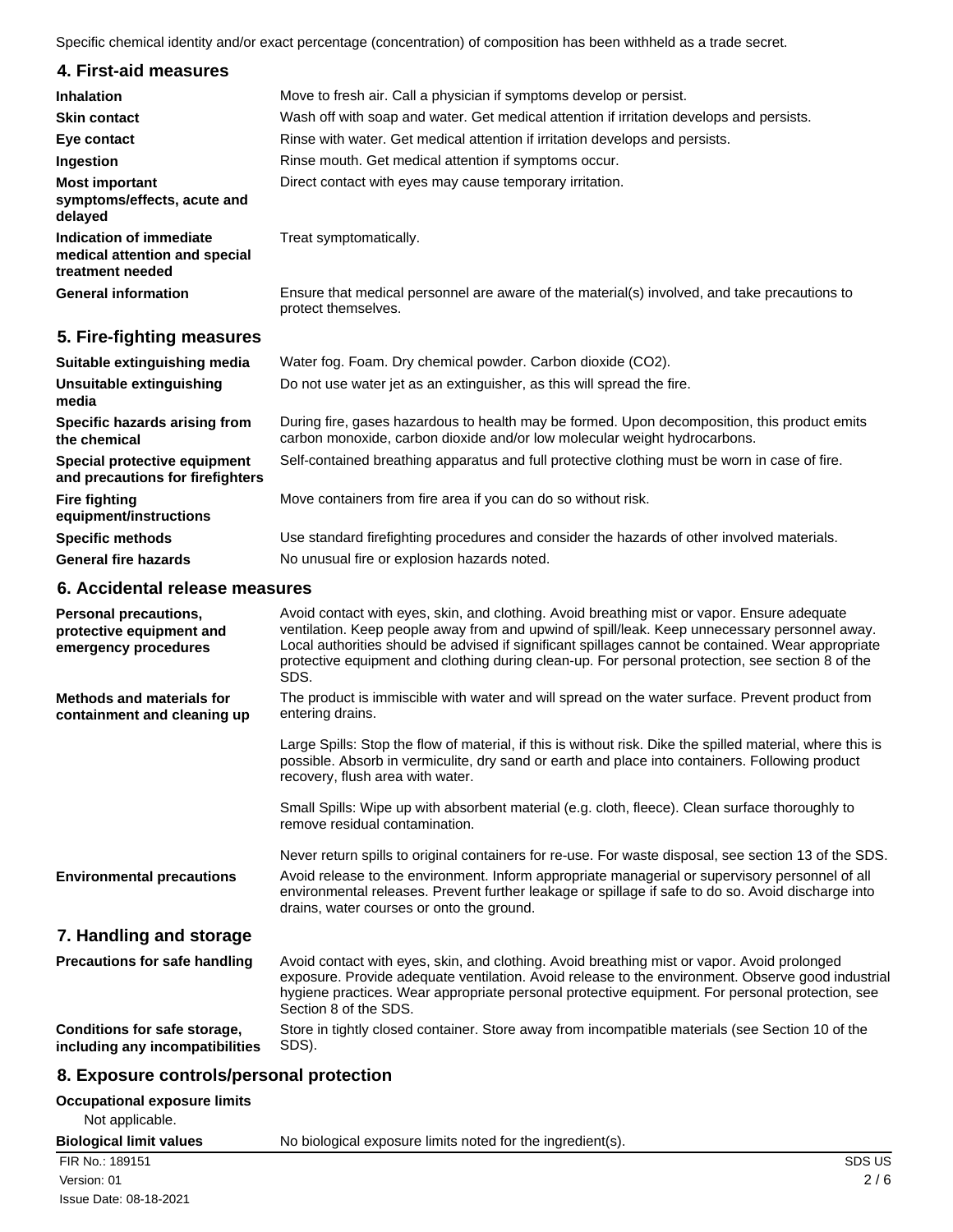Specific chemical identity and/or exact percentage (concentration) of composition has been withheld as a trade secret.

## **4. First-aid measures**

| 4. FII SUAIU IIIUASUIUS                                                      |                                                                                                                                                                           |
|------------------------------------------------------------------------------|---------------------------------------------------------------------------------------------------------------------------------------------------------------------------|
| <b>Inhalation</b>                                                            | Move to fresh air. Call a physician if symptoms develop or persist.                                                                                                       |
| <b>Skin contact</b>                                                          | Wash off with soap and water. Get medical attention if irritation develops and persists.                                                                                  |
| Eye contact                                                                  | Rinse with water. Get medical attention if irritation develops and persists.                                                                                              |
| Ingestion                                                                    | Rinse mouth. Get medical attention if symptoms occur.                                                                                                                     |
| <b>Most important</b><br>symptoms/effects, acute and<br>delayed              | Direct contact with eyes may cause temporary irritation.                                                                                                                  |
| Indication of immediate<br>medical attention and special<br>treatment needed | Treat symptomatically.                                                                                                                                                    |
| <b>General information</b>                                                   | Ensure that medical personnel are aware of the material(s) involved, and take precautions to<br>protect themselves.                                                       |
| 5. Fire-fighting measures                                                    |                                                                                                                                                                           |
| Suitable extinguishing media                                                 | Water fog. Foam. Dry chemical powder. Carbon dioxide (CO2).                                                                                                               |
| Unsuitable extinguishing<br>media                                            | Do not use water jet as an extinguisher, as this will spread the fire.                                                                                                    |
| Specific hazards arising from<br>the chemical                                | During fire, gases hazardous to health may be formed. Upon decomposition, this product emits<br>carbon monoxide, carbon dioxide and/or low molecular weight hydrocarbons. |
| Special protective equipment<br>and precautions for firefighters             | Self-contained breathing apparatus and full protective clothing must be worn in case of fire.                                                                             |
| <b>Fire fighting</b><br>equipment/instructions                               | Move containers from fire area if you can do so without risk.                                                                                                             |
| <b>Specific methods</b>                                                      | Use standard firefighting procedures and consider the hazards of other involved materials.                                                                                |

General fire hazards **No unusual fire or explosion hazards noted.** 

#### **6. Accidental release measures**

| <b>Personal precautions,</b><br>protective equipment and<br>emergency procedures | Avoid contact with eyes, skin, and clothing. Avoid breathing mist or vapor. Ensure adequate<br>ventilation. Keep people away from and upwind of spill/leak. Keep unnecessary personnel away.<br>Local authorities should be advised if significant spillages cannot be contained. Wear appropriate<br>protective equipment and clothing during clean-up. For personal protection, see section 8 of the<br>SDS. |
|----------------------------------------------------------------------------------|----------------------------------------------------------------------------------------------------------------------------------------------------------------------------------------------------------------------------------------------------------------------------------------------------------------------------------------------------------------------------------------------------------------|
| Methods and materials for<br>containment and cleaning up                         | The product is immiscible with water and will spread on the water surface. Prevent product from<br>entering drains.                                                                                                                                                                                                                                                                                            |
|                                                                                  | Large Spills: Stop the flow of material, if this is without risk. Dike the spilled material, where this is<br>possible. Absorb in vermiculite, dry sand or earth and place into containers. Following product<br>recovery, flush area with water.                                                                                                                                                              |
|                                                                                  | Small Spills: Wipe up with absorbent material (e.g. cloth, fleece). Clean surface thoroughly to<br>remove residual contamination.                                                                                                                                                                                                                                                                              |
|                                                                                  | Never return spills to original containers for re-use. For waste disposal, see section 13 of the SDS.                                                                                                                                                                                                                                                                                                          |
| <b>Environmental precautions</b>                                                 | Avoid release to the environment. Inform appropriate managerial or supervisory personnel of all<br>environmental releases. Prevent further leakage or spillage if safe to do so. Avoid discharge into<br>drains, water courses or onto the ground.                                                                                                                                                             |
| 7. Handling and storage                                                          |                                                                                                                                                                                                                                                                                                                                                                                                                |
| Precautions for safe handling                                                    | Avoid contact with eyes, skin, and clothing. Avoid breathing mist or vapor. Avoid prolonged                                                                                                                                                                                                                                                                                                                    |

### exposure. Provide adequate ventilation. Avoid release to the environment. Observe good industrial hygiene practices. Wear appropriate personal protective equipment. For personal protection, see Section 8 of the SDS. **Conditions for safe storage,**

Store in tightly closed container. Store away from incompatible materials (see Section 10 of the SDS).

## **8. Exposure controls/personal protection**

| Occupational exposure limits |  |  |
|------------------------------|--|--|
|------------------------------|--|--|

**including any incompatibilities**

Not applicable.

**Biological limit values** No biological exposure limits noted for the ingredient(s).

### FIR No.: 189151 SDS US Note that the state of the state of the state of the state of the state of the state of the state of the state of the state of the state of the state of the state of the state of the state of the sta Issue Date: 08-18-2021 Version: 01 2 / 6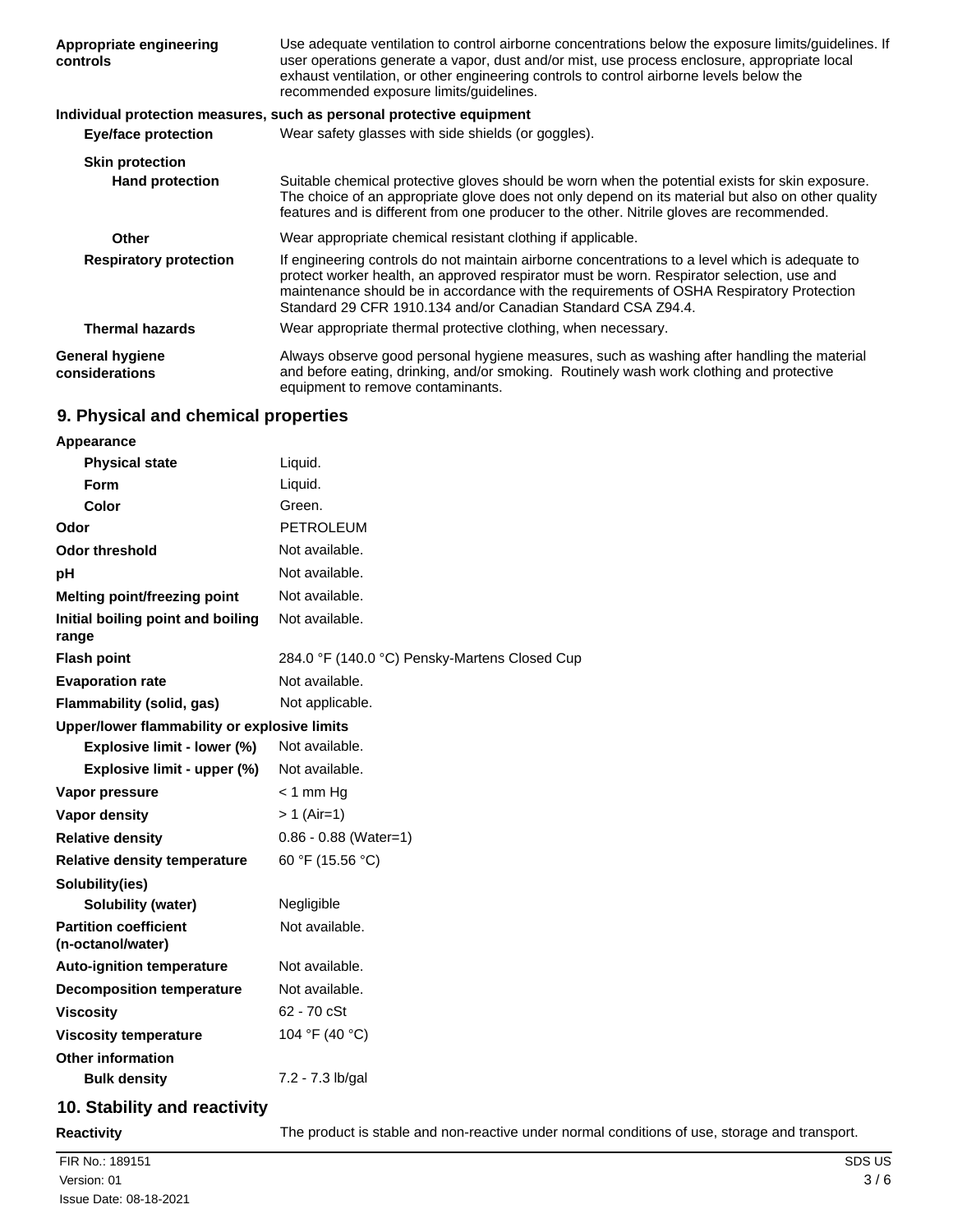| Appropriate engineering<br>controls      | Use adequate ventilation to control airborne concentrations below the exposure limits/guidelines. If<br>user operations generate a vapor, dust and/or mist, use process enclosure, appropriate local<br>exhaust ventilation, or other engineering controls to control airborne levels below the<br>recommended exposure limits/quidelines.               |
|------------------------------------------|----------------------------------------------------------------------------------------------------------------------------------------------------------------------------------------------------------------------------------------------------------------------------------------------------------------------------------------------------------|
|                                          | Individual protection measures, such as personal protective equipment                                                                                                                                                                                                                                                                                    |
| <b>Eye/face protection</b>               | Wear safety glasses with side shields (or goggles).                                                                                                                                                                                                                                                                                                      |
| <b>Skin protection</b>                   |                                                                                                                                                                                                                                                                                                                                                          |
| <b>Hand protection</b>                   | Suitable chemical protective gloves should be worn when the potential exists for skin exposure.<br>The choice of an appropriate glove does not only depend on its material but also on other quality<br>features and is different from one producer to the other. Nitrile gloves are recommended.                                                        |
| Other                                    | Wear appropriate chemical resistant clothing if applicable.                                                                                                                                                                                                                                                                                              |
| <b>Respiratory protection</b>            | If engineering controls do not maintain airborne concentrations to a level which is adequate to<br>protect worker health, an approved respirator must be worn. Respirator selection, use and<br>maintenance should be in accordance with the requirements of OSHA Respiratory Protection<br>Standard 29 CFR 1910.134 and/or Canadian Standard CSA Z94.4. |
| <b>Thermal hazards</b>                   | Wear appropriate thermal protective clothing, when necessary.                                                                                                                                                                                                                                                                                            |
| <b>General hygiene</b><br>considerations | Always observe good personal hygiene measures, such as washing after handling the material<br>and before eating, drinking, and/or smoking. Routinely wash work clothing and protective<br>equipment to remove contaminants.                                                                                                                              |

# **9. Physical and chemical properties**

| Appearance                                        |                                               |
|---------------------------------------------------|-----------------------------------------------|
| <b>Physical state</b>                             | Liquid.                                       |
| Form                                              | Liquid.                                       |
| Color                                             | Green.                                        |
| Odor                                              | <b>PETROLEUM</b>                              |
| <b>Odor threshold</b>                             | Not available.                                |
| рH                                                | Not available.                                |
| Melting point/freezing point                      | Not available.                                |
| Initial boiling point and boiling<br>range        | Not available.                                |
| <b>Flash point</b>                                | 284.0 °F (140.0 °C) Pensky-Martens Closed Cup |
| <b>Evaporation rate</b>                           | Not available.                                |
| <b>Flammability (solid, gas)</b>                  | Not applicable.                               |
| Upper/lower flammability or explosive limits      |                                               |
| Explosive limit - lower (%)                       | Not available.                                |
| Explosive limit - upper (%)                       | Not available.                                |
| Vapor pressure                                    | $<$ 1 mm Hg                                   |
| <b>Vapor density</b>                              | $> 1$ (Air=1)                                 |
| <b>Relative density</b>                           | $0.86 - 0.88$ (Water=1)                       |
| <b>Relative density temperature</b>               | 60 °F (15.56 °C)                              |
| Solubility(ies)                                   |                                               |
| <b>Solubility (water)</b>                         | Negligible                                    |
| <b>Partition coefficient</b><br>(n-octanol/water) | Not available.                                |
| <b>Auto-ignition temperature</b>                  | Not available.                                |
| <b>Decomposition temperature</b>                  | Not available.                                |
| <b>Viscosity</b>                                  | 62 - 70 cSt                                   |
| <b>Viscosity temperature</b>                      | 104 °F (40 °C)                                |
| <b>Other information</b>                          |                                               |
| <b>Bulk density</b>                               | 7.2 - 7.3 lb/gal                              |
|                                                   |                                               |

# **10. Stability and reactivity**

**Reactivity** The product is stable and non-reactive under normal conditions of use, storage and transport.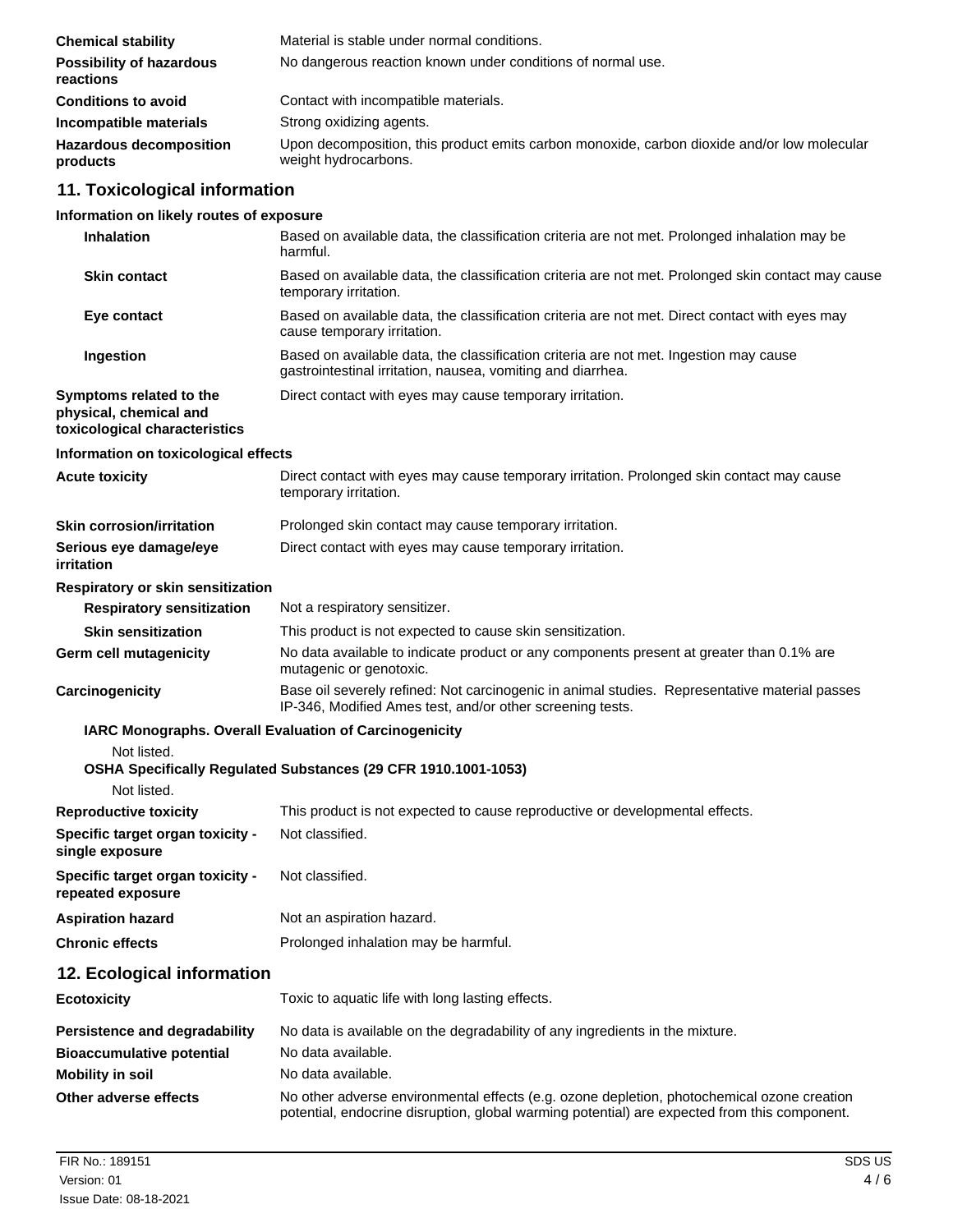| <b>Chemical stability</b>                    | Material is stable under normal conditions.                                                                         |
|----------------------------------------------|---------------------------------------------------------------------------------------------------------------------|
| <b>Possibility of hazardous</b><br>reactions | No dangerous reaction known under conditions of normal use.                                                         |
| <b>Conditions to avoid</b>                   | Contact with incompatible materials.                                                                                |
| Incompatible materials                       | Strong oxidizing agents.                                                                                            |
| <b>Hazardous decomposition</b><br>products   | Upon decomposition, this product emits carbon monoxide, carbon dioxide and/or low molecular<br>weight hydrocarbons. |

# **11. Toxicological information**

## **Information on likely routes of exposure**

| <b>Inhalation</b>                                                                  | Based on available data, the classification criteria are not met. Prolonged inhalation may be<br>harmful.                                                                                  |
|------------------------------------------------------------------------------------|--------------------------------------------------------------------------------------------------------------------------------------------------------------------------------------------|
| <b>Skin contact</b>                                                                | Based on available data, the classification criteria are not met. Prolonged skin contact may cause<br>temporary irritation.                                                                |
| Eye contact                                                                        | Based on available data, the classification criteria are not met. Direct contact with eyes may<br>cause temporary irritation.                                                              |
| Ingestion                                                                          | Based on available data, the classification criteria are not met. Ingestion may cause<br>gastrointestinal irritation, nausea, vomiting and diarrhea.                                       |
| Symptoms related to the<br>physical, chemical and<br>toxicological characteristics | Direct contact with eyes may cause temporary irritation.                                                                                                                                   |
| Information on toxicological effects                                               |                                                                                                                                                                                            |
| <b>Acute toxicity</b>                                                              | Direct contact with eyes may cause temporary irritation. Prolonged skin contact may cause<br>temporary irritation.                                                                         |
| <b>Skin corrosion/irritation</b>                                                   | Prolonged skin contact may cause temporary irritation.                                                                                                                                     |
| Serious eye damage/eye<br>irritation                                               | Direct contact with eyes may cause temporary irritation.                                                                                                                                   |
| <b>Respiratory or skin sensitization</b>                                           |                                                                                                                                                                                            |
| <b>Respiratory sensitization</b>                                                   | Not a respiratory sensitizer.                                                                                                                                                              |
| <b>Skin sensitization</b>                                                          | This product is not expected to cause skin sensitization.                                                                                                                                  |
| <b>Germ cell mutagenicity</b>                                                      | No data available to indicate product or any components present at greater than 0.1% are<br>mutagenic or genotoxic.                                                                        |
| Carcinogenicity                                                                    | Base oil severely refined: Not carcinogenic in animal studies. Representative material passes<br>IP-346, Modified Ames test, and/or other screening tests.                                 |
|                                                                                    | IARC Monographs. Overall Evaluation of Carcinogenicity                                                                                                                                     |
| Not listed.                                                                        | OSHA Specifically Regulated Substances (29 CFR 1910.1001-1053)                                                                                                                             |
| Not listed.                                                                        |                                                                                                                                                                                            |
| <b>Reproductive toxicity</b>                                                       | This product is not expected to cause reproductive or developmental effects.                                                                                                               |
| Specific target organ toxicity -<br>single exposure                                | Not classified.                                                                                                                                                                            |
| Specific target organ toxicity -<br>repeated exposure                              | Not classified.                                                                                                                                                                            |
| <b>Aspiration hazard</b>                                                           | Not an aspiration hazard.                                                                                                                                                                  |
| <b>Chronic effects</b>                                                             | Prolonged inhalation may be harmful.                                                                                                                                                       |
| 12. Ecological information                                                         |                                                                                                                                                                                            |
| <b>Ecotoxicity</b>                                                                 | Toxic to aquatic life with long lasting effects.                                                                                                                                           |
| Persistence and degradability                                                      | No data is available on the degradability of any ingredients in the mixture.                                                                                                               |
| <b>Bioaccumulative potential</b>                                                   | No data available.                                                                                                                                                                         |
| <b>Mobility in soil</b>                                                            | No data available.                                                                                                                                                                         |
| Other adverse effects                                                              | No other adverse environmental effects (e.g. ozone depletion, photochemical ozone creation<br>potential, endocrine disruption, global warming potential) are expected from this component. |
|                                                                                    |                                                                                                                                                                                            |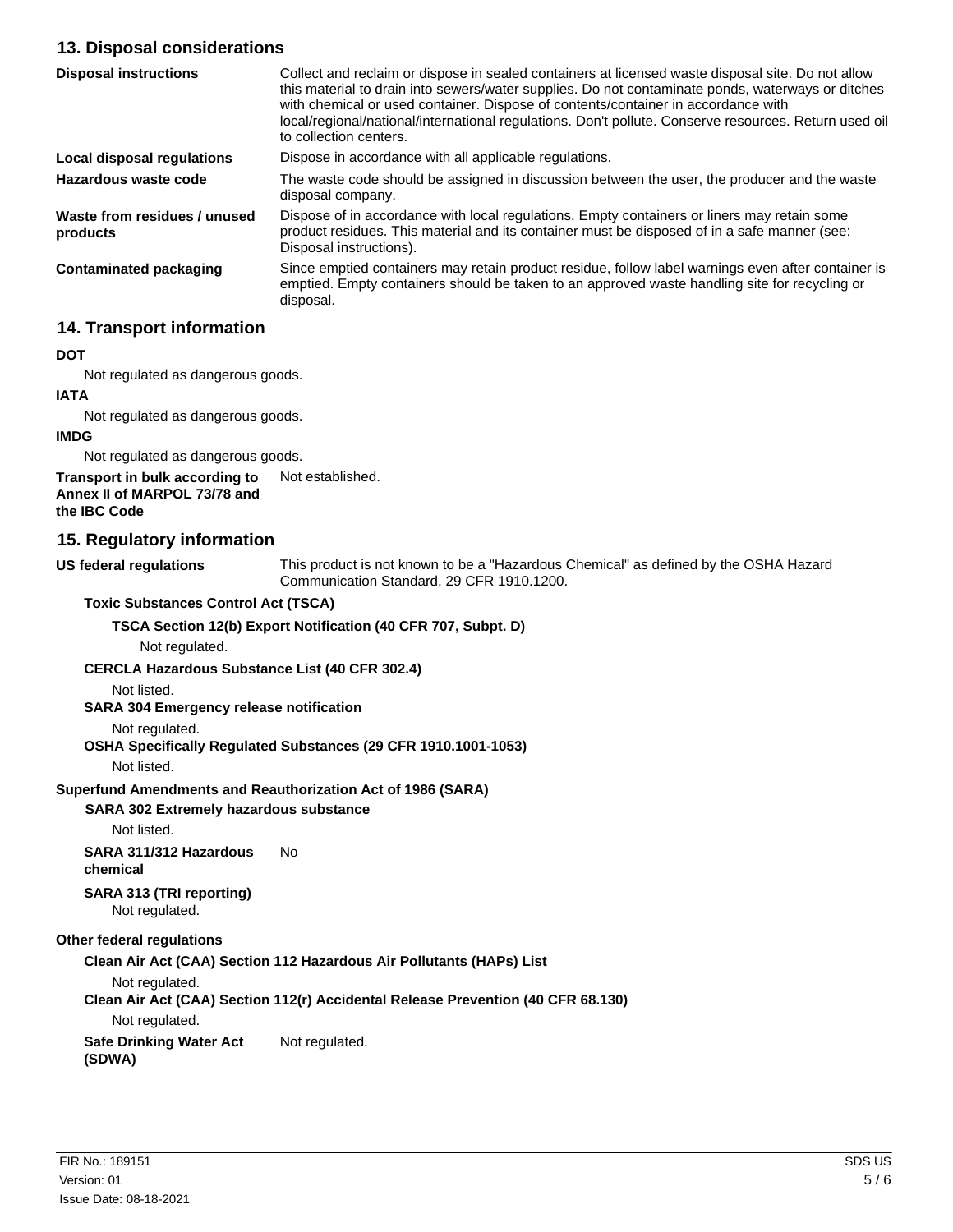## **13. Disposal considerations**

| <b>Disposal instructions</b>             | Collect and reclaim or dispose in sealed containers at licensed waste disposal site. Do not allow<br>this material to drain into sewers/water supplies. Do not contaminate ponds, waterways or ditches<br>with chemical or used container. Dispose of contents/container in accordance with<br>local/regional/national/international regulations. Don't pollute. Conserve resources. Return used oil<br>to collection centers. |
|------------------------------------------|--------------------------------------------------------------------------------------------------------------------------------------------------------------------------------------------------------------------------------------------------------------------------------------------------------------------------------------------------------------------------------------------------------------------------------|
| Local disposal regulations               | Dispose in accordance with all applicable regulations.                                                                                                                                                                                                                                                                                                                                                                         |
| Hazardous waste code                     | The waste code should be assigned in discussion between the user, the producer and the waste<br>disposal company.                                                                                                                                                                                                                                                                                                              |
| Waste from residues / unused<br>products | Dispose of in accordance with local regulations. Empty containers or liners may retain some<br>product residues. This material and its container must be disposed of in a safe manner (see:<br>Disposal instructions).                                                                                                                                                                                                         |
| <b>Contaminated packaging</b>            | Since emptied containers may retain product residue, follow label warnings even after container is<br>emptied. Empty containers should be taken to an approved waste handling site for recycling or<br>disposal.                                                                                                                                                                                                               |

## **14. Transport information**

#### **DOT**

Not regulated as dangerous goods.

#### **IATA**

Not regulated as dangerous goods.

#### **IMDG**

Not regulated as dangerous goods.

**Transport in bulk according to** Not established. **Annex II of MARPOL 73/78 and**

### **the IBC Code**

### **15. Regulatory information**

**US federal regulations**

This product is not known to be a "Hazardous Chemical" as defined by the OSHA Hazard Communication Standard, 29 CFR 1910.1200.

### **Toxic Substances Control Act (TSCA)**

### **TSCA Section 12(b) Export Notification (40 CFR 707, Subpt. D)**

Not regulated.

#### **CERCLA Hazardous Substance List (40 CFR 302.4)**

Not listed.

### **SARA 304 Emergency release notification**

### Not regulated.

### **OSHA Specifically Regulated Substances (29 CFR 1910.1001-1053)**

Not listed.

## **Superfund Amendments and Reauthorization Act of 1986 (SARA)**

## **SARA 302 Extremely hazardous substance**

Not listed.

# **SARA 311/312 Hazardous** No

**chemical**

#### **SARA 313 (TRI reporting)** Not regulated.

## **Other federal regulations**

## **Clean Air Act (CAA) Section 112 Hazardous Air Pollutants (HAPs) List**

Not regulated.

## **Clean Air Act (CAA) Section 112(r) Accidental Release Prevention (40 CFR 68.130)**

Not regulated.

## **Safe Drinking Water Act** Not regulated.

**(SDWA)**